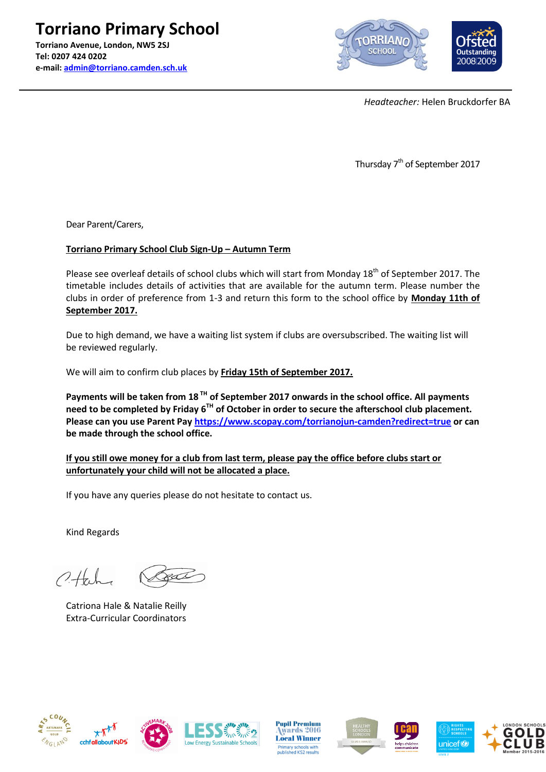**Torriano Primary School Torriano Avenue, London, NW5 2SJ Tel: 0207 424 0202 e-mail: [admin@torriano.camden.sch.uk](mailto:admin@torriano.camden.sch.uk)**



*Headteacher:* Helen Bruckdorfer BA

Thursday 7<sup>th</sup> of September 2017

Dear Parent/Carers,

## **Torriano Primary School Club Sign-Up – Autumn Term**

Please see overleaf details of school clubs which will start from Monday 18<sup>th</sup> of September 2017. The timetable includes details of activities that are available for the autumn term. Please number the clubs in order of preference from 1-3 and return this form to the school office by **Monday 11th of September 2017.**

Due to high demand, we have a waiting list system if clubs are oversubscribed. The waiting list will be reviewed regularly.

We will aim to confirm club places by **Friday 15th of September 2017.**

**Payments will be taken from 18 TH of September 2017 onwards in the school office. All payments need to be completed by Friday 6TH of October in order to secure the afterschool club placement. Please can you use Parent Pay<https://www.scopay.com/torrianojun-camden?redirect=true> or can be made through the school office.**

**If you still owe money for a club from last term, please pay the office before clubs start or unfortunately your child will not be allocated a place.** 

If you have any queries please do not hesitate to contact us.

Kind Regards

 $0+1$ 

Catriona Hale & Natalie Reilly Extra-Curricular Coordinators













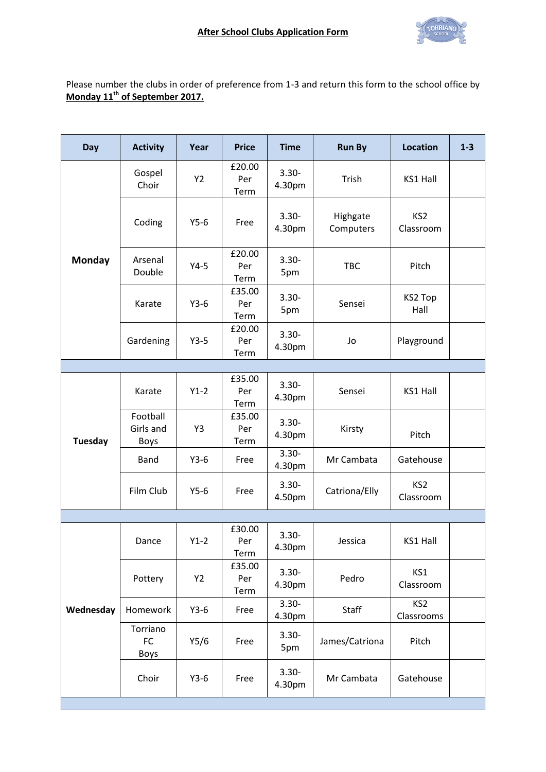

Please number the clubs in order of preference from 1-3 and return this form to the school office by **Monday 11 th of September 2017.**

| Day            | <b>Activity</b>                      | Year      | <b>Price</b>          | <b>Time</b>        | <b>Run By</b>         | <b>Location</b>               | $1-3$ |
|----------------|--------------------------------------|-----------|-----------------------|--------------------|-----------------------|-------------------------------|-------|
| <b>Monday</b>  | Gospel<br>Choir                      | Y2        | £20.00<br>Per<br>Term | $3.30 -$<br>4.30pm | Trish                 | KS1 Hall                      |       |
|                | Coding                               | $Y5-6$    | Free                  | $3.30 -$<br>4.30pm | Highgate<br>Computers | KS <sub>2</sub><br>Classroom  |       |
|                | Arsenal<br>Double                    | $Y4-5$    | £20.00<br>Per<br>Term | $3.30 -$<br>5pm    | <b>TBC</b>            | Pitch                         |       |
|                | Karate                               | $Y3-6$    | £35.00<br>Per<br>Term | $3.30 -$<br>5pm    | Sensei                | KS2 Top<br>Hall               |       |
|                | Gardening                            | $Y3-5$    | £20.00<br>Per<br>Term | $3.30 -$<br>4.30pm | Jo                    | Playground                    |       |
|                |                                      |           |                       |                    |                       |                               |       |
| <b>Tuesday</b> | Karate                               | $Y1-2$    | £35.00<br>Per<br>Term | $3.30 -$<br>4.30pm | Sensei                | KS1 Hall                      |       |
|                | Football<br>Girls and<br><b>Boys</b> | Y3        | £35.00<br>Per<br>Term | $3.30 -$<br>4.30pm | Kirsty                | Pitch                         |       |
|                | <b>Band</b>                          | $Y3-6$    | Free                  | $3.30 -$<br>4.30pm | Mr Cambata            | Gatehouse                     |       |
|                | Film Club                            | $Y5-6$    | Free                  | $3.30 -$<br>4.50pm | Catriona/Elly         | KS <sub>2</sub><br>Classroom  |       |
|                |                                      |           |                       |                    |                       |                               |       |
| Wednesday      | Dance                                | $Y1-2$    | £30.00<br>Per<br>Term | $3.30 -$<br>4.30pm | Jessica               | <b>KS1 Hall</b>               |       |
|                | Pottery                              | <b>Y2</b> | £35.00<br>Per<br>Term | $3.30 -$<br>4.30pm | Pedro                 | KS1<br>Classroom              |       |
|                | Homework                             | $Y3-6$    | Free                  | $3.30 -$<br>4.30pm | <b>Staff</b>          | KS <sub>2</sub><br>Classrooms |       |
|                | Torriano<br>FC<br><b>Boys</b>        | Y5/6      | Free                  | $3.30 -$<br>5pm    | James/Catriona        | Pitch                         |       |
|                | Choir                                | $Y3-6$    | Free                  | $3.30 -$<br>4.30pm | Mr Cambata            | Gatehouse                     |       |
|                |                                      |           |                       |                    |                       |                               |       |